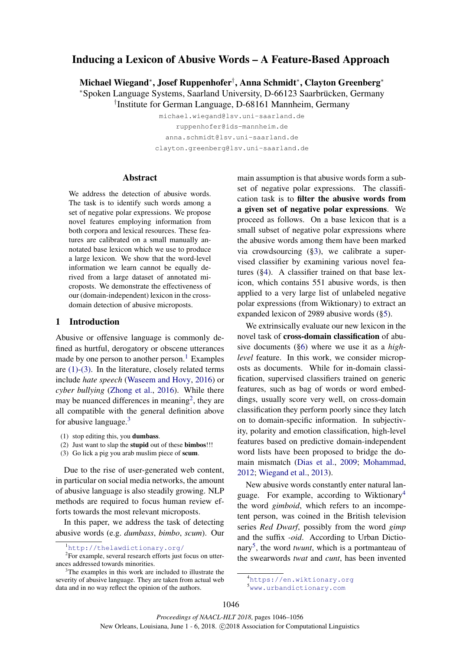# Inducing a Lexicon of Abusive Words – A Feature-Based Approach

Michael Wiegand<sup>∗</sup> , Josef Ruppenhofer† , Anna Schmidt<sup>∗</sup> , Clayton Greenberg<sup>∗</sup>

<sup>∗</sup>Spoken Language Systems, Saarland University, D-66123 Saarbrucken, Germany ¨

† Institute for German Language, D-68161 Mannheim, Germany

michael.wiegand@lsv.uni-saarland.de ruppenhofer@ids-mannheim.de anna.schmidt@lsv.uni-saarland.de clayton.greenberg@lsv.uni-saarland.de

Abstract

We address the detection of abusive words. The task is to identify such words among a set of negative polar expressions. We propose novel features employing information from both corpora and lexical resources. These features are calibrated on a small manually annotated base lexicon which we use to produce a large lexicon. We show that the word-level information we learn cannot be equally derived from a large dataset of annotated microposts. We demonstrate the effectiveness of our (domain-independent) lexicon in the crossdomain detection of abusive microposts.

## 1 Introduction

Abusive or offensive language is commonly defined as hurtful, derogatory or obscene utterances made by one person to another person. $<sup>1</sup>$  Examples</sup> are  $(1)-(3)$ . In the literature, closely related terms include *hate speech* (Waseem and Hovy, 2016) or *cyber bullying* (Zhong et al., 2016). While there may be nuanced differences in meaning<sup>2</sup>, they are all compatible with the general definition above for abusive language. $3$ 

- (1) stop editing this, you dumbass.
- (2) Just want to slap the stupid out of these bimbos!!!
- (3) Go lick a pig you arab muslim piece of scum.

Due to the rise of user-generated web content, in particular on social media networks, the amount of abusive language is also steadily growing. NLP methods are required to focus human review efforts towards the most relevant microposts.

In this paper, we address the task of detecting abusive words (e.g. *dumbass*, *bimbo*, *scum*). Our main assumption is that abusive words form a subset of negative polar expressions. The classification task is to filter the abusive words from a given set of negative polar expressions. We proceed as follows. On a base lexicon that is a small subset of negative polar expressions where the abusive words among them have been marked via crowdsourcing (§3), we calibrate a supervised classifier by examining various novel features (§4). A classifier trained on that base lexicon, which contains 551 abusive words, is then applied to a very large list of unlabeled negative polar expressions (from Wiktionary) to extract an expanded lexicon of 2989 abusive words (§5).

We extrinsically evaluate our new lexicon in the novel task of cross-domain classification of abusive documents (§6) where we use it as a *highlevel* feature. In this work, we consider microposts as documents. While for in-domain classification, supervised classifiers trained on generic features, such as bag of words or word embeddings, usually score very well, on cross-domain classification they perform poorly since they latch on to domain-specific information. In subjectivity, polarity and emotion classification, high-level features based on predictive domain-independent word lists have been proposed to bridge the domain mismatch (Dias et al., 2009; Mohammad, 2012; Wiegand et al., 2013).

New abusive words constantly enter natural language. For example, according to Wiktionary<sup>4</sup> the word *gimboid*, which refers to an incompetent person, was coined in the British television series *Red Dwarf*, possibly from the word *gimp* and the suffix *-oid*. According to Urban Dictionary<sup>5</sup> , the word *twunt*, which is a portmanteau of the swearwords *twat* and *cunt*, has been invented

<sup>1</sup>http://thelawdictionary.org/

<sup>&</sup>lt;sup>2</sup>For example, several research efforts just focus on utterances addressed towards minorities.

<sup>&</sup>lt;sup>3</sup>The examples in this work are included to illustrate the severity of abusive language. They are taken from actual web data and in no way reflect the opinion of the authors.

<sup>4</sup>https://en.wiktionary.org <sup>5</sup>www.urbandictionary.com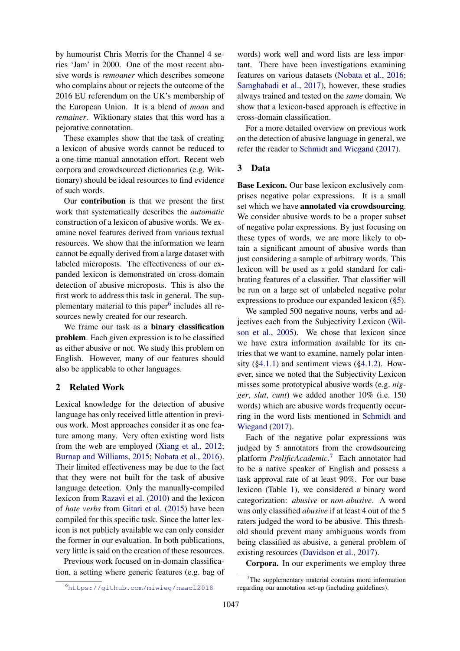by humourist Chris Morris for the Channel 4 series 'Jam' in 2000. One of the most recent abusive words is *remoaner* which describes someone who complains about or rejects the outcome of the 2016 EU referendum on the UK's membership of the European Union. It is a blend of *moan* and *remainer*. Wiktionary states that this word has a pejorative connotation.

These examples show that the task of creating a lexicon of abusive words cannot be reduced to a one-time manual annotation effort. Recent web corpora and crowdsourced dictionaries (e.g. Wiktionary) should be ideal resources to find evidence of such words.

Our contribution is that we present the first work that systematically describes the *automatic* construction of a lexicon of abusive words. We examine novel features derived from various textual resources. We show that the information we learn cannot be equally derived from a large dataset with labeled microposts. The effectiveness of our expanded lexicon is demonstrated on cross-domain detection of abusive microposts. This is also the first work to address this task in general. The supplementary material to this paper<sup>6</sup> includes all resources newly created for our research.

We frame our task as a **binary classification** problem. Each given expression is to be classified as either abusive or not. We study this problem on English. However, many of our features should also be applicable to other languages.

## 2 Related Work

Lexical knowledge for the detection of abusive language has only received little attention in previous work. Most approaches consider it as one feature among many. Very often existing word lists from the web are employed (Xiang et al., 2012; Burnap and Williams, 2015; Nobata et al., 2016). Their limited effectiveness may be due to the fact that they were not built for the task of abusive language detection. Only the manually-compiled lexicon from Razavi et al. (2010) and the lexicon of *hate verbs* from Gitari et al. (2015) have been compiled for this specific task. Since the latter lexicon is not publicly available we can only consider the former in our evaluation. In both publications, very little is said on the creation of these resources.

Previous work focused on in-domain classification, a setting where generic features (e.g. bag of

words) work well and word lists are less important. There have been investigations examining features on various datasets (Nobata et al., 2016; Samghabadi et al., 2017), however, these studies always trained and tested on the *same* domain. We show that a lexicon-based approach is effective in cross-domain classification.

For a more detailed overview on previous work on the detection of abusive language in general, we refer the reader to Schmidt and Wiegand (2017).

# 3 Data

Base Lexicon. Our base lexicon exclusively comprises negative polar expressions. It is a small set which we have annotated via crowdsourcing. We consider abusive words to be a proper subset of negative polar expressions. By just focusing on these types of words, we are more likely to obtain a significant amount of abusive words than just considering a sample of arbitrary words. This lexicon will be used as a gold standard for calibrating features of a classifier. That classifier will be run on a large set of unlabeled negative polar expressions to produce our expanded lexicon (§5).

We sampled 500 negative nouns, verbs and adjectives each from the Subjectivity Lexicon (Wilson et al., 2005). We chose that lexicon since we have extra information available for its entries that we want to examine, namely polar intensity  $(\S4.1.1)$  and sentiment views  $(\S4.1.2)$ . However, since we noted that the Subjectivity Lexicon misses some prototypical abusive words (e.g. *nigger*, *slut*, *cunt*) we added another 10% (i.e. 150 words) which are abusive words frequently occurring in the word lists mentioned in Schmidt and Wiegand (2017).

Each of the negative polar expressions was judged by 5 annotators from the crowdsourcing platform *ProlificAcademic*. <sup>7</sup> Each annotator had to be a native speaker of English and possess a task approval rate of at least 90%. For our base lexicon (Table 1), we considered a binary word categorization: *abusive* or *non-abusive*. A word was only classified *abusive* if at least 4 out of the 5 raters judged the word to be abusive. This threshold should prevent many ambiguous words from being classified as abusive, a general problem of existing resources (Davidson et al., 2017).

Corpora. In our experiments we employ three

<sup>6</sup>https://github.com/miwieg/naacl2018

 $7$ The supplementary material contains more information regarding our annotation set-up (including guidelines).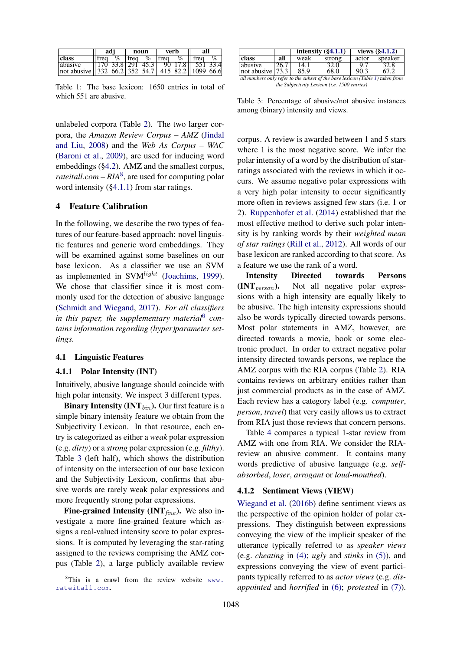|                                                                    | adi  |  | noun       |  | verb        |  | all                                               |                             |
|--------------------------------------------------------------------|------|--|------------|--|-------------|--|---------------------------------------------------|-----------------------------|
| class                                                              | trea |  | $\%$ Ifreq |  | $\%$   freq |  | $\%$ Ifreq                                        | $\mathcal{C}_{\mathcal{D}}$ |
| abusive                                                            |      |  |            |  |             |  | $  170 \t33.8  291 \t45.3  90 \t17.8  551 \t33.4$ |                             |
| not abusive    332 \ 66.2   352 \ 54.7   415 \ 82.2    1099 \ 66.6 |      |  |            |  |             |  |                                                   |                             |

Table 1: The base lexicon: 1650 entries in total of which 551 are abusive.

unlabeled corpora (Table 2). The two larger corpora, the *Amazon Review Corpus – AMZ* (Jindal and Liu, 2008) and the *Web As Corpus – WAC* (Baroni et al., 2009), are used for inducing word embeddings (§4.2). AMZ and the smallest corpus, *rateitall.com* –  $RIA<sup>8</sup>$ , are used for computing polar word intensity (§4.1.1) from star ratings.

## 4 Feature Calibration

In the following, we describe the two types of features of our feature-based approach: novel linguistic features and generic word embeddings. They will be examined against some baselines on our base lexicon. As a classifier we use an SVM as implemented in  $SVM<sup>light</sup>$  (Joachims, 1999). We chose that classifier since it is most commonly used for the detection of abusive language (Schmidt and Wiegand, 2017). *For all classifiers in this paper, the supplementary material*<sup>6</sup> *contains information regarding (hyper)parameter settings.*

#### 4.1 Linguistic Features

### 4.1.1 Polar Intensity (INT)

Intuitively, abusive language should coincide with high polar intensity. We inspect 3 different types.

**Binary Intensity (INT** $_{bin}$ ). Our first feature is a simple binary intensity feature we obtain from the Subjectivity Lexicon. In that resource, each entry is categorized as either a *weak* polar expression (e.g. *dirty*) or a *strong* polar expression (e.g. *filthy*). Table 3 (left half), which shows the distribution of intensity on the intersection of our base lexicon and the Subjectivity Lexicon, confirms that abusive words are rarely weak polar expressions and more frequently strong polar expressions.

Fine-grained Intensity (INT $_{fine}$ ). We also investigate a more fine-grained feature which assigns a real-valued intensity score to polar expressions. It is computed by leveraging the star-rating assigned to the reviews comprising the AMZ corpus (Table 2), a large publicly available review

|                                                                               |      |      | intensity $(\S 4.1.1)$ | views $(\S 4.1.2)$ |         |  |  |
|-------------------------------------------------------------------------------|------|------|------------------------|--------------------|---------|--|--|
| class                                                                         | all  | weak | strong                 | actor              | speaker |  |  |
| abusive                                                                       | 26.7 | 14.1 | 32.0                   | -97                | 32.8    |  |  |
| $ not \space absolute   73.3    $                                             |      | 85.9 | 68.0                   | 90.3               | 67.2    |  |  |
| all numbers only refer to the subset of the base lexicon (Table 1) taken from |      |      |                        |                    |         |  |  |

*the Subjectivity Lexicon (i.e. 1500 entries)*

Table 3: Percentage of abusive/not abusive instances among (binary) intensity and views.

corpus. A review is awarded between 1 and 5 stars where 1 is the most negative score. We infer the polar intensity of a word by the distribution of starratings associated with the reviews in which it occurs. We assume negative polar expressions with a very high polar intensity to occur significantly more often in reviews assigned few stars (i.e. 1 or 2). Ruppenhofer et al. (2014) established that the most effective method to derive such polar intensity is by ranking words by their *weighted mean of star ratings* (Rill et al., 2012). All words of our base lexicon are ranked according to that score. As a feature we use the rank of a word.

Intensity Directed towards Persons  $(INT<sub>nerson</sub>)$ . Not all negative polar expressions with a high intensity are equally likely to be abusive. The high intensity expressions should also be words typically directed towards persons. Most polar statements in AMZ, however, are directed towards a movie, book or some electronic product. In order to extract negative polar intensity directed towards persons, we replace the AMZ corpus with the RIA corpus (Table 2). RIA contains reviews on arbitrary entities rather than just commercial products as in the case of AMZ. Each review has a category label (e.g. *computer*, *person*, *travel*) that very easily allows us to extract from RIA just those reviews that concern persons.

Table 4 compares a typical 1-star review from AMZ with one from RIA. We consider the RIAreview an abusive comment. It contains many words predictive of abusive language (e.g. *selfabsorbed*, *loser*, *arrogant* or *loud-mouthed*).

## 4.1.2 Sentiment Views (VIEW)

Wiegand et al. (2016b) define sentiment views as the perspective of the opinion holder of polar expressions. They distinguish between expressions conveying the view of the implicit speaker of the utterance typically referred to as *speaker views* (e.g. *cheating* in (4); *ugly* and *stinks* in (5)), and expressions conveying the view of event participants typically referred to as *actor views* (e.g. *disappointed* and *horrified* in (6); *protested* in (7)).

 $8$ This is a crawl from the review website www. rateitall.com.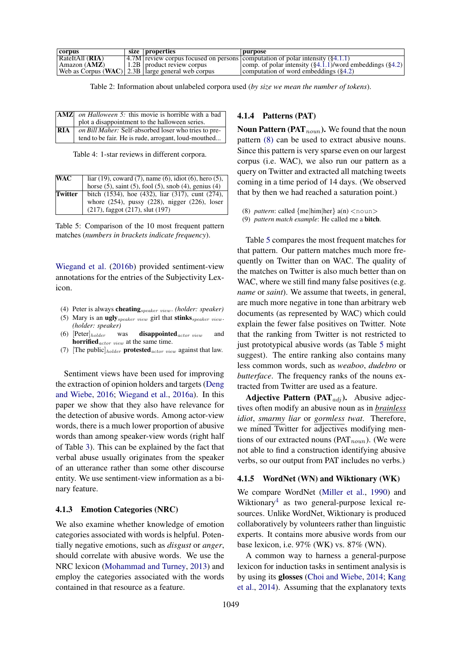| corpus                | size properties                                     | purpose                                                                                     |
|-----------------------|-----------------------------------------------------|---------------------------------------------------------------------------------------------|
| RateItAll (RIA)       |                                                     | $\vert 4.7M \vert$ review corpus focused on persons computation of polar intensity (§4.1.1) |
| Amazon ( <b>AMZ</b> ) | $\pm 1.2B$   product review corpus                  | comp. of polar intensity $(\S 4.1.1)$ /word embeddings $(\S 4.2)$                           |
|                       | Web as Corpus (WAC) 2.3B   large general web corpus | computation of word embeddings $(\S4.2)$                                                    |

Table 2: Information about unlabeled corpora used (*by size we mean the number of tokens*).

|     | <b>AMZ</b> on <i>Halloween 5</i> : this movie is horrible with a bad |
|-----|----------------------------------------------------------------------|
|     | plot a disappointment to the halloween series.                       |
| RIA | on Bill Maher: Self-absorbed loser who tries to pre-                 |
|     | tend to be fair. He is rude, arrogant, loud-mouthed                  |

Table 4: 1-star reviews in different corpora.

| WAC     |                                                                                                            |
|---------|------------------------------------------------------------------------------------------------------------|
|         | liar (19), coward (7), name (6), idiot (6), hero (5), horse (5), saint (5), fool (5), snob (4), genius (4) |
| Twitter | bitch (1534), hoe (432), liar (317), cunt (274),                                                           |
|         | whore (254), pussy (228), nigger (226), loser                                                              |
|         | $(217)$ , faggot $(217)$ , slut $(197)$                                                                    |

Table 5: Comparison of the 10 most frequent pattern matches (*numbers in brackets indicate frequency*).

Wiegand et al. (2016b) provided sentiment-view annotations for the entries of the Subjectivity Lexicon.

- (4) Peter is always cheatingspeaker view . *(holder: speaker)*
- (5) Mary is an ugly  $_{speaker\ view}$  girl that stinks  $_{speaker\ view}$ . *(holder: speaker)*
- (6)  $[Peter]_{holder}$  was **disappointed** *actor view* and horrified $_{actor\ view}$  at the same time.
- (7) [The public] $_{holder}$  protested  $_{actor\ view}$  against that law.

Sentiment views have been used for improving the extraction of opinion holders and targets (Deng and Wiebe, 2016; Wiegand et al., 2016a). In this paper we show that they also have relevance for the detection of abusive words. Among actor-view words, there is a much lower proportion of abusive words than among speaker-view words (right half of Table 3). This can be explained by the fact that verbal abuse usually originates from the speaker of an utterance rather than some other discourse entity. We use sentiment-view information as a binary feature.

#### 4.1.3 Emotion Categories (NRC)

We also examine whether knowledge of emotion categories associated with words is helpful. Potentially negative emotions, such as *disgust* or *anger*, should correlate with abusive words. We use the NRC lexicon (Mohammad and Turney, 2013) and employ the categories associated with the words contained in that resource as a feature.

## 4.1.4 Patterns (PAT)

Noun Pattern (PAT $_{noun}$ ). We found that the noun pattern (8) can be used to extract abusive nouns. Since this pattern is very sparse even on our largest corpus (i.e. WAC), we also run our pattern as a query on Twitter and extracted all matching tweets coming in a time period of 14 days. (We observed that by then we had reached a saturation point.)

(8) *pattern*: called  ${me|him|her} a(n) < noun$ 

(9) *pattern match example*: He called me a bitch.

Table 5 compares the most frequent matches for that pattern. Our pattern matches much more frequently on Twitter than on WAC. The quality of the matches on Twitter is also much better than on WAC, where we still find many false positives (e.g. *name* or *saint*). We assume that tweets, in general, are much more negative in tone than arbitrary web documents (as represented by WAC) which could explain the fewer false positives on Twitter. Note that the ranking from Twitter is not restricted to just prototypical abusive words (as Table 5 might) suggest). The entire ranking also contains many less common words, such as *weaboo*, *dudebro* or *butterface*. The frequency ranks of the nouns extracted from Twitter are used as a feature.

**Adjective Pattern (PAT** $_{adj}$ ). Abusive adjectives often modify an abusive noun as in *brainless idiot*, *smarmy liar* or *gormless twat*. Therefore, we mined Twitter for adjectives modifying mentions of our extracted nouns (PAT<sub>noun</sub>). (We were not able to find a construction identifying abusive verbs, so our output from PAT includes no verbs.)

## 4.1.5 WordNet (WN) and Wiktionary (WK)

We compare WordNet (Miller et al., 1990) and Wiktionary<sup>4</sup> as two general-purpose lexical resources. Unlike WordNet, Wiktionary is produced collaboratively by volunteers rather than linguistic experts. It contains more abusive words from our base lexicon, i.e. 97% (WK) vs. 87% (WN).

A common way to harness a general-purpose lexicon for induction tasks in sentiment analysis is by using its glosses (Choi and Wiebe, 2014; Kang et al., 2014). Assuming that the explanatory texts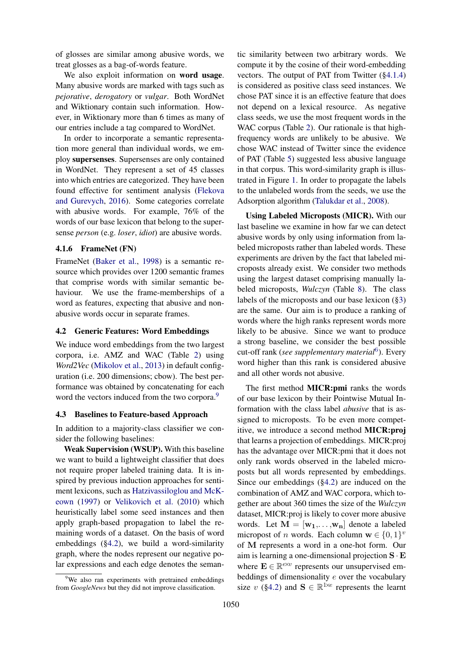of glosses are similar among abusive words, we treat glosses as a bag-of-words feature.

We also exploit information on **word** usage. Many abusive words are marked with tags such as *pejorative*, *derogatory* or *vulgar*. Both WordNet and Wiktionary contain such information. However, in Wiktionary more than 6 times as many of our entries include a tag compared to WordNet.

In order to incorporate a semantic representation more general than individual words, we employ supersenses. Supersenses are only contained in WordNet. They represent a set of 45 classes into which entries are categorized. They have been found effective for sentiment analysis (Flekova and Gurevych, 2016). Some categories correlate with abusive words. For example, 76% of the words of our base lexicon that belong to the supersense *person* (e.g. *loser*, *idiot*) are abusive words.

### 4.1.6 FrameNet (FN)

FrameNet (Baker et al., 1998) is a semantic resource which provides over 1200 semantic frames that comprise words with similar semantic behaviour. We use the frame-memberships of a word as features, expecting that abusive and nonabusive words occur in separate frames.

#### 4.2 Generic Features: Word Embeddings

We induce word embeddings from the two largest corpora, i.e. AMZ and WAC (Table 2) using *Word2Vec* (Mikolov et al., 2013) in default configuration (i.e. 200 dimensions; cbow). The best performance was obtained by concatenating for each word the vectors induced from the two corpora.<sup>9</sup>

#### 4.3 Baselines to Feature-based Approach

In addition to a majority-class classifier we consider the following baselines:

Weak Supervision (WSUP). With this baseline we want to build a lightweight classifier that does not require proper labeled training data. It is inspired by previous induction approaches for sentiment lexicons, such as Hatzivassiloglou and McKeown (1997) or Velikovich et al. (2010) which heuristically label some seed instances and then apply graph-based propagation to label the remaining words of a dataset. On the basis of word embeddings (§4.2), we build a word-similarity graph, where the nodes represent our negative polar expressions and each edge denotes the semantic similarity between two arbitrary words. We compute it by the cosine of their word-embedding vectors. The output of PAT from Twitter (§4.1.4) is considered as positive class seed instances. We chose PAT since it is an effective feature that does not depend on a lexical resource. As negative class seeds, we use the most frequent words in the WAC corpus (Table 2). Our rationale is that highfrequency words are unlikely to be abusive. We chose WAC instead of Twitter since the evidence of PAT (Table 5) suggested less abusive language in that corpus. This word-similarity graph is illustrated in Figure 1. In order to propagate the labels to the unlabeled words from the seeds, we use the Adsorption algorithm (Talukdar et al., 2008).

Using Labeled Microposts (MICR). With our last baseline we examine in how far we can detect abusive words by only using information from labeled microposts rather than labeled words. These experiments are driven by the fact that labeled microposts already exist. We consider two methods using the largest dataset comprising manually labeled microposts, *Wulczyn* (Table 8). The class labels of the microposts and our base lexicon (§3) are the same. Our aim is to produce a ranking of words where the high ranks represent words more likely to be abusive. Since we want to produce a strong baseline, we consider the best possible cut-off rank (*see supplementary material*<sup>6</sup> ). Every word higher than this rank is considered abusive and all other words not abusive.

The first method MICR:pmi ranks the words of our base lexicon by their Pointwise Mutual Information with the class label *abusive* that is assigned to microposts. To be even more competitive, we introduce a second method MICR:proj that learns a projection of embeddings. MICR:proj has the advantage over MICR:pmi that it does not only rank words observed in the labeled microposts but all words represented by embeddings. Since our embeddings (§4.2) are induced on the combination of AMZ and WAC corpora, which together are about 360 times the size of the *Wulczyn* dataset, MICR:proj is likely to cover more abusive words. Let  $M = [w_1, \ldots, w_n]$  denote a labeled micropost of *n* words. Each column  $\mathbf{w} \in \{0, 1\}^v$ of M represents a word in a one-hot form. Our aim is learning a one-dimensional projection  $S \cdot E$ where  $\mathbf{E} \in \mathbb{R}^{e \times v}$  represents our unsupervised embeddings of dimensionality e over the vocabulary size v (§4.2) and  $\mathbf{S} \in \mathbb{R}^{1 \times e}$  represents the learnt

<sup>&</sup>lt;sup>9</sup>We also ran experiments with pretrained embeddings from *GoogleNews* but they did not improve classification.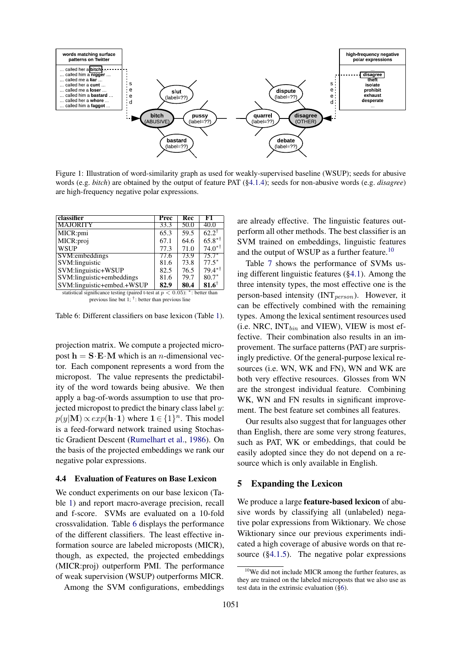

Figure 1: Illustration of word-similarity graph as used for weakly-supervised baseline (WSUP); seeds for abusive words (e.g. *bitch*) are obtained by the output of feature PAT (§4.1.4); seeds for non-abusive words (e.g. *disagree*) are high-frequency negative polar expressions.

| classifier                 | <b>Prec</b> | Rec  | F1                      |
|----------------------------|-------------|------|-------------------------|
| <b>MAJORITY</b>            | 33.3        | 50.0 | 40.0                    |
| MICR:pmi                   | 65.3        | 59.5 | $62.2^{\dagger}$        |
| MICR:proj                  | 67.1        | 64.6 | $65.8**$                |
| <b>WSUP</b>                | 77.3        | 71.0 | $74.0^{*}$ <sup>†</sup> |
| SVM:embeddings             | 77.6        | 73.9 | $75.7*$                 |
| SVM:linguistic             | 81.6        | 73.8 | $77.5*$                 |
| SVM:linguistic+WSUP        | 82.5        | 76.5 | $79.4**$                |
| SVM:linguistic+embeddings  | 81.6        | 79.7 | $80.7*$                 |
| SVM:linguistic+embed.+WSUP | 82.9        | 80.4 | $81.6^{\dagger}$        |

statistical significance testing (paired t-test at  $p < 0.05$ ): \*: better than previous line but 1; † : better than previous line

Table 6: Different classifiers on base lexicon (Table 1).

projection matrix. We compute a projected micropost  $h = S \cdot E \cdot M$  which is an *n*-dimensional vector. Each component represents a word from the micropost. The value represents the predictability of the word towards being abusive. We then apply a bag-of-words assumption to use that projected micropost to predict the binary class label  $y$ :  $p(y|\mathbf{M}) \propto exp(\mathbf{h} \cdot \mathbf{1})$  where  $\mathbf{1} \in \{1\}^n$ . This model is a feed-forward network trained using Stochastic Gradient Descent (Rumelhart et al., 1986). On the basis of the projected embeddings we rank our negative polar expressions.

## 4.4 Evaluation of Features on Base Lexicon

We conduct experiments on our base lexicon (Table 1) and report macro-average precision, recall and f-score. SVMs are evaluated on a 10-fold crossvalidation. Table 6 displays the performance of the different classifiers. The least effective information source are labeled microposts (MICR), though, as expected, the projected embeddings (MICR:proj) outperform PMI. The performance of weak supervision (WSUP) outperforms MICR.

Among the SVM configurations, embeddings

are already effective. The linguistic features outperform all other methods. The best classifier is an SVM trained on embeddings, linguistic features and the output of WSUP as a further feature.<sup>10</sup>

Table 7 shows the performance of SVMs using different linguistic features (§4.1). Among the three intensity types, the most effective one is the person-based intensity ( $INT_{person}$ ). However, it can be effectively combined with the remaining types. Among the lexical sentiment resources used (i.e. NRC,  $INT_{bin}$  and VIEW), VIEW is most effective. Their combination also results in an improvement. The surface patterns (PAT) are surprisingly predictive. Of the general-purpose lexical resources (i.e. WN, WK and FN), WN and WK are both very effective resources. Glosses from WN are the strongest individual feature. Combining WK, WN and FN results in significant improvement. The best feature set combines all features.

Our results also suggest that for languages other than English, there are some very strong features, such as PAT, WK or embeddings, that could be easily adopted since they do not depend on a resource which is only available in English.

### 5 Expanding the Lexicon

We produce a large **feature-based lexicon** of abusive words by classifying all (unlabeled) negative polar expressions from Wiktionary. We chose Wiktionary since our previous experiments indicated a high coverage of abusive words on that resource (§4.1.5). The negative polar expressions

<sup>10</sup>We did not include MICR among the further features, as they are trained on the labeled microposts that we also use as test data in the extrinsic evaluation (§6).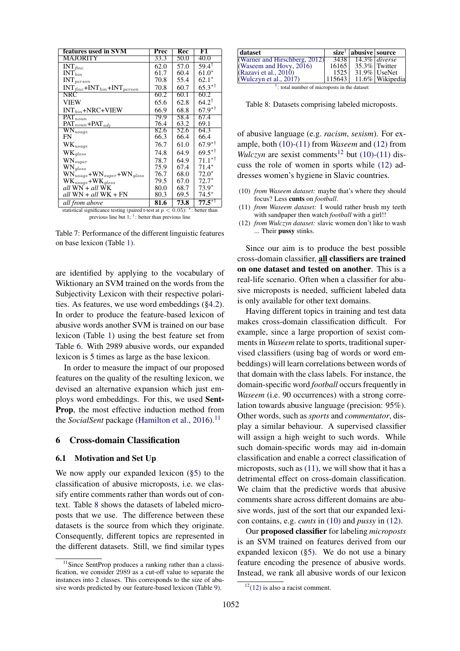| features used in SVM                    | Prec | Rec  | F1                      |
|-----------------------------------------|------|------|-------------------------|
| MAJORITY                                | 33.3 | 50.0 | 40.0                    |
| $INT_{fine}$                            | 62.0 | 57.0 | $59.4^{\dagger}$        |
| $INT_{bin}$                             | 61.7 | 60.4 | $61.0*$                 |
| $\text{INT}_{\mathit{person}}$          | 70.8 | 55.4 | $62.1*$                 |
| $INT_{fine} + INT_{bin} + INT_{person}$ | 70.8 | 60.7 | $65.3**$                |
| NRC                                     | 60.2 | 60.1 | 60.2                    |
| <b>VIEW</b>                             | 65.6 | 62.8 | $64.2^{\dagger}$        |
| $INT_{bin}$ +NRC+VIEW                   | 66.9 | 68.8 | $67.9^{*}$ <sup>†</sup> |
| $\overline{\mathrm{PAT}_{noun}}$        | 79.9 | 58.4 | 67.4                    |
| $PAT_{noun}$ + $PAT_{adj}$              | 76.4 | 63.2 | 69.1                    |
| $\overline{\text{WN}_{usage}}$          | 82.6 | 52.6 | 64.3                    |
| FN                                      | 66.3 | 66.4 | 66.4                    |
| $\mathrm{WK}_{\mathit{usage}}$          | 76.7 | 61.0 | $67.9^{*+}$             |
| $WK_{gloss}$                            | 74.8 | 64.9 | $69.5$ <sup>*†</sup>    |
| $\text{WN}_{super}$                     | 78.7 | 64.9 | $71.1**$                |
| $\text{WN}_{\mathit{gloss}}$            | 75.9 | 67.4 | $71.4*$                 |
| $WN_{usage} + WN_{super} + WN_{glass}$  | 76.7 | 68.0 | $72.0*$                 |
| $WK_{usage} + WK_{gloss}$               | 79.5 | 67.0 | $72.7*$                 |
| all WN + all WK                         | 80.0 | 68.7 | $73.9*$                 |
| all WN + all WK + FN                    | 80.3 | 69.5 | $74.5*$                 |
| all from above                          | 81.6 | 73.8 | $77.5^{+1}$             |

statistical significance testing (paired t-test at  $p < 0.05$ ): \*: better than previous line but  $1$ ;  $\bar{ }$  : better than previous line

Table 7: Performance of the different linguistic features on base lexicon (Table 1).

are identified by applying to the vocabulary of Wiktionary an SVM trained on the words from the Subjectivity Lexicon with their respective polarities. As features, we use word embeddings (§4.2). In order to produce the feature-based lexicon of abusive words another SVM is trained on our base lexicon (Table 1) using the best feature set from Table 6. With 2989 abusive words, our expanded lexicon is 5 times as large as the base lexicon.

In order to measure the impact of our proposed features on the quality of the resulting lexicon, we devised an alternative expansion which just employs word embeddings. For this, we used Sent-Prop, the most effective induction method from the *SocialSent* package (Hamilton et al., 2016).<sup>11</sup>

### 6 Cross-domain Classification

## 6.1 Motivation and Set Up

We now apply our expanded lexicon  $(\S 5)$  to the classification of abusive microposts, i.e. we classify entire comments rather than words out of context. Table 8 shows the datasets of labeled microposts that we use. The difference between these datasets is the source from which they originate. Consequently, different topics are represented in the different datasets. Still, we find similar types

| dataset                       |      | $size^{\dagger}$   abusive   source |                              |
|-------------------------------|------|-------------------------------------|------------------------------|
| (Warner and Hirschberg, 2012) |      | 3438 14.3% diverse                  |                              |
| (Waseem and Hovy, 2016)       |      | 16165 35.3% Twitter                 |                              |
| (Razavi et al., 2010)         | 1525 |                                     | $31.9\%$ UseNet              |
| (Wulczyn et al., $2017$ )     |      |                                     | $ 115643  11.6\% Wikipedia $ |

† : total number of microposts in the dataset

Table 8: Datasets comprising labeled microposts.

of abusive language (e.g. *racism*, *sexism*). For example, both (10)-(11) from *Waseem* and (12) from *Wulczyn* are sexist comments<sup>12</sup> but (10)-(11) discuss the role of women in sports while (12) addresses women's hygiene in Slavic countries.

- (10) *from Waseem dataset:* maybe that's where they should focus? Less cunts on *football*.
- (11) *from Waseem dataset:* I would rather brush my teeth with sandpaper then watch *football* with a girl!!
- (12) *from Wulczyn dataset:* slavic women don't like to wash ... Their pussy stinks.

Since our aim is to produce the best possible cross-domain classifier, all classifiers are trained on one dataset and tested on another. This is a real-life scenario. Often when a classifier for abusive microposts is needed, sufficient labeled data is only available for other text domains.

Having different topics in training and test data makes cross-domain classification difficult. For example, since a large proportion of sexist comments in *Waseem* relate to sports, traditional supervised classifiers (using bag of words or word embeddings) will learn correlations between words of that domain with the class labels. For instance, the domain-specific word *football* occurs frequently in *Waseem* (i.e. 90 occurrences) with a strong correlation towards abusive language (precision: 95%). Other words, such as *sports* and *commentator*, display a similar behaviour. A supervised classifier will assign a high weight to such words. While such domain-specific words may aid in-domain classification and enable a correct classification of microposts, such as  $(11)$ , we will show that it has a detrimental effect on cross-domain classification. We claim that the predictive words that abusive comments share across different domains are abusive words, just of the sort that our expanded lexicon contains, e.g. *cunts* in (10) and *pussy* in (12).

Our proposed classifier for labeling *microposts* is an SVM trained on features derived from our expanded lexicon (§5). We do not use a binary feature encoding the presence of abusive words. Instead, we rank all abusive words of our lexicon

<sup>&</sup>lt;sup>11</sup>Since SentProp produces a ranking rather than a classification, we consider 2989 as a cut-off value to separate the instances into 2 classes. This corresponds to the size of abusive words predicted by our feature-based lexicon (Table 9).

 $12(12)$  is also a racist comment.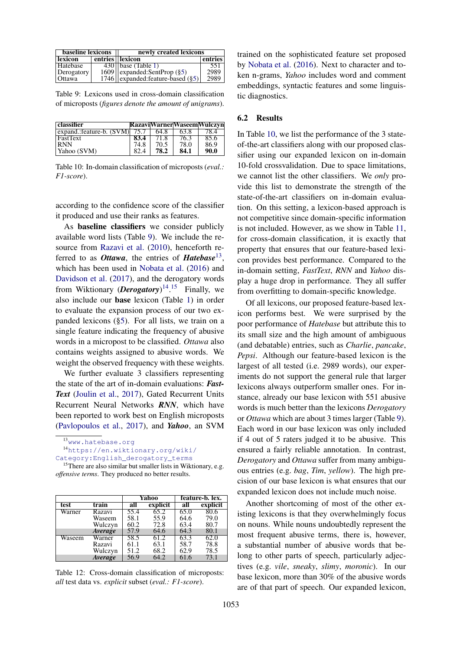| <b>baseline lexicons</b> | newly created lexicons                  |         |  |  |  |
|--------------------------|-----------------------------------------|---------|--|--|--|
| lexicon                  | entries    lexicon                      | entries |  |  |  |
| <b>Hatebase</b>          | $430$   base (Table 1)                  | 551     |  |  |  |
| Derogatory               | $1609$    expanded: SentProp (§5)       | 2989    |  |  |  |
| Ottawa                   | 1746    expanded: feature-based $(\S5)$ | 2989    |  |  |  |

Table 9: Lexicons used in cross-domain classification of microposts (*figures denote the amount of unigrams*).

| <b>classifier</b>        |      |      |      | <b>RazaviWarnerWaseemWulczyn</b> |
|--------------------------|------|------|------|----------------------------------|
| expand.:feature-b. (SVM) | 75.7 | 64.8 | 63.8 |                                  |
| <b>FastText</b>          | 83.4 | 71.8 | 76.3 | 85.6                             |
| RNN                      | 74.8 | 70.5 | 78.0 | 86.9                             |
| Yahoo (SVM)              | 82.4 | 78.2 | 84.1 | 90.0                             |

Table 10: In-domain classification of microposts (*eval.: F1-score*).

according to the confidence score of the classifier it produced and use their ranks as features.

As baseline classifiers we consider publicly available word lists (Table 9). We include the resource from Razavi et al. (2010), henceforth referred to as *Ottawa*, the entries of *Hatebase*<sup>13</sup> , which has been used in Nobata et al. (2016) and Davidson et al. (2017), and the derogatory words from Wiktionary (*Derogatory*) 14 . <sup>15</sup> Finally, we also include our base lexicon (Table 1) in order to evaluate the expansion process of our two expanded lexicons (§5). For all lists, we train on a single feature indicating the frequency of abusive words in a micropost to be classified. *Ottawa* also contains weights assigned to abusive words. We weight the observed frequency with these weights.

We further evaluate 3 classifiers representing the state of the art of in-domain evaluations: *Fast-Text* (Joulin et al., 2017), Gated Recurrent Units Recurrent Neural Networks *RNN*, which have been reported to work best on English microposts (Pavlopoulos et al., 2017), and *Yahoo*, an SVM

<sup>&</sup>lt;sup>15</sup>There are also similar but smaller lists in Wiktionary, e.g. *offensive terms*. They produced no better results.

|        |                       |      | Yahoo    |      | feature-b. lex. |
|--------|-----------------------|------|----------|------|-----------------|
| test   | train                 | all  | explicit | all  | explicit        |
| Warner | Razavi                | 55.4 | 65.2     | 65.0 | 80.6            |
|        | Waseem                | 58.1 | 55.9     | 64.6 | 79.0            |
|        | Wulczyn               | 60.2 | 72.8     | 63.4 | 80.7            |
|        | Average               | 57.9 | 64.6     | 64.3 | 80.1            |
| Waseem | Warner                | 58.5 | 61.2     | 63.3 | 62.0            |
|        | Razavi                | 61.1 | 63.1     | 58.7 | 78.8            |
|        | Wulczyn               | 51.2 | 68.2     | 62.9 | 78.5            |
|        | <i><b>Average</b></i> | 56.9 | 64.2     | 61.6 | 73.1            |

Table 12: Cross-domain classification of microposts: *all* test data vs. *explicit* subset (*eval.: F1-score*).

trained on the sophisticated feature set proposed by Nobata et al. (2016). Next to character and token n-grams, *Yahoo* includes word and comment embeddings, syntactic features and some linguistic diagnostics.

## 6.2 Results

In Table 10, we list the performance of the 3 stateof-the-art classifiers along with our proposed classifier using our expanded lexicon on in-domain 10-fold crossvalidation. Due to space limitations, we cannot list the other classifiers. We *only* provide this list to demonstrate the strength of the state-of-the-art classifiers on in-domain evaluation. On this setting, a lexicon-based approach is not competitive since domain-specific information is not included. However, as we show in Table 11, for cross-domain classification, it is exactly that property that ensures that our feature-based lexicon provides best performance. Compared to the in-domain setting, *FastText*, *RNN* and *Yahoo* display a huge drop in performance. They all suffer from overfitting to domain-specific knowledge.

Of all lexicons, our proposed feature-based lexicon performs best. We were surprised by the poor performance of *Hatebase* but attribute this to its small size and the high amount of ambiguous (and debatable) entries, such as *Charlie*, *pancake*, *Pepsi*. Although our feature-based lexicon is the largest of all tested (i.e. 2989 words), our experiments do not support the general rule that larger lexicons always outperform smaller ones. For instance, already our base lexicon with 551 abusive words is much better than the lexicons *Derogatory* or *Ottawa* which are about 3 times larger (Table 9). Each word in our base lexicon was only included if 4 out of 5 raters judged it to be abusive. This ensured a fairly reliable annotation. In contrast, *Derogatory* and *Ottawa* suffer from many ambiguous entries (e.g. *bag*, *Tim*, *yellow*). The high precision of our base lexicon is what ensures that our expanded lexicon does not include much noise.

Another shortcoming of most of the other existing lexicons is that they overwhelmingly focus on nouns. While nouns undoubtedly represent the most frequent abusive terms, there is, however, a substantial number of abusive words that belong to other parts of speech, particularly adjectives (e.g. *vile*, *sneaky*, *slimy*, *moronic*). In our base lexicon, more than 30% of the abusive words are of that part of speech. Our expanded lexicon,

<sup>13</sup>www.hatebase.org

<sup>14</sup>https://en.wiktionary.org/wiki/

Category:English\_derogatory\_terms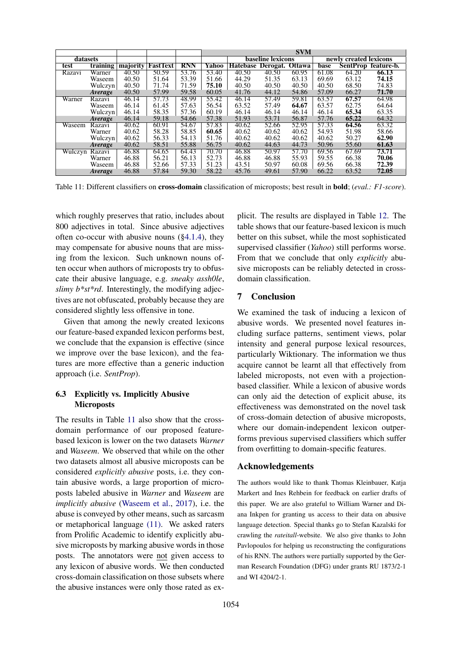|          |          |          |                 |            |       |                 |                          | <b>SVM</b> |       |                        |                     |
|----------|----------|----------|-----------------|------------|-------|-----------------|--------------------------|------------|-------|------------------------|---------------------|
| datasets |          |          |                 |            |       |                 | <b>baseline</b> lexicons |            |       | newly created lexicons |                     |
| test     | training | majority | <b>FastText</b> | <b>RNN</b> | Yahoo | <b>Hatebase</b> | Derogat. Ottawa          |            | base  |                        | SentProp feature-b. |
| Razavi   | Warner   | 40.50    | 50.59           | 53.76      | 53.40 | 40.50           | 40.50                    | 60.95      | 61.08 | 64.20                  | 66.13               |
|          | Waseem   | 40.50    | 51.64           | 53.39      | 51.66 | 44.29           | 51.35                    | 63.13      | 69.69 | 63.12                  | 74.15               |
|          | Wulczyn  | 40.50    | 71.74           | 71.59      | 75.10 | 40.50           | 40.50                    | 40.50      | 40.50 | 68.50                  | 74.83               |
|          | Average  | 40.50    | 57.99           | 59.58      | 60.05 | 41.76           | 44.12                    | 54.86      | 57.09 | 66.27                  | 71.70               |
| Warner   | Razavi   | 46.14    | 57.73           | 48.99      | 55.42 | 46.14           | 57.49                    | 59.81      | 63.57 | 67.57                  | 64.98               |
|          | Waseem   | 46.14    | 61.45           | 57.63      | 56.54 | 63.52           | 57.49                    | 64.67      | 63.57 | 62.75                  | 64.64               |
|          | Wulczyn  | 46.14    | 58.35           | 57.36      | 60.19 | 46.14           | 46.14                    | 46.14      | 46.14 | 65.34                  | 63.35               |
|          | Average  | 46.14    | 59.18           | 54.66      | 57.38 | 51.93           | 53.71                    | 56.87      | 57.76 | 65.22                  | 64.32               |
| Waseem   | Razavi   | 40.62    | 60.91           | 54.67      | 57.83 | 40.62           | 52.66                    | 52.95      | 57.33 | 64.56                  | 63.32               |
|          | Warner   | 40.62    | 58.28           | 58.85      | 60.65 | 40.62           | 40.62                    | 40.62      | 54.93 | 51.98                  | 58.66               |
|          | Wulczyn  | 40.62    | 56.33           | 54.13      | 51.76 | 40.62           | 40.62                    | 40.62      | 40.62 | 50.27                  | 62.90               |
|          | Average  | 40.62    | 58.51           | 55.88      | 56.75 | 40.62           | 44.63                    | 44.73      | 50.96 | 55.60                  | 61.63               |
| Wulczyn  | Razavi   | 46.88    | 64.65           | 64.43      | 70.70 | 46.88           | 50.97                    | 57.70      | 69.56 | 67.69                  | 73.71               |
|          | Warner   | 46.88    | 56.21           | 56.13      | 52.73 | 46.88           | 46.88                    | 55.93      | 59.55 | 66.38                  | 70.06               |
|          | Waseem   | 46.88    | 52.66           | 57.33      | 51.23 | 43.51           | 50.97                    | 60.08      | 69.56 | 66.38                  | 72.39               |
|          | Average  | 46.88    | 57.84           | 59.30      | 58.22 | 45.76           | 49.61                    | 57.90      | 66.22 | 63.52                  | 72.05               |

Table 11: Different classifiers on cross-domain classification of microposts; best result in bold; (*eval.: F1-score*).

which roughly preserves that ratio, includes about 800 adjectives in total. Since abusive adjectives often co-occur with abusive nouns (§4.1.4), they may compensate for abusive nouns that are missing from the lexicon. Such unknown nouns often occur when authors of microposts try to obfuscate their abusive language, e.g. *sneaky assh0le*, *slimy b\*st\*rd*. Interestingly, the modifying adjectives are not obfuscated, probably because they are considered slightly less offensive in tone.

Given that among the newly created lexicons our feature-based expanded lexicon performs best, we conclude that the expansion is effective (since we improve over the base lexicon), and the features are more effective than a generic induction approach (i.e. *SentProp*).

## 6.3 Explicitly vs. Implicitly Abusive **Microposts**

The results in Table 11 also show that the crossdomain performance of our proposed featurebased lexicon is lower on the two datasets *Warner* and *Waseem*. We observed that while on the other two datasets almost all abusive microposts can be considered *explicitly abusive* posts, i.e. they contain abusive words, a large proportion of microposts labeled abusive in *Warner* and *Waseem* are *implicitly abusive* (Waseem et al., 2017), i.e. the abuse is conveyed by other means, such as sarcasm or metaphorical language (11). We asked raters from Prolific Academic to identify explicitly abusive microposts by marking abusive words in those posts. The annotators were not given access to any lexicon of abusive words. We then conducted cross-domain classification on those subsets where the abusive instances were only those rated as explicit. The results are displayed in Table 12. The table shows that our feature-based lexicon is much better on this subset, while the most sophisticated supervised classifier (*Yahoo*) still performs worse. From that we conclude that only *explicitly* abusive microposts can be reliably detected in crossdomain classification.

# 7 Conclusion

We examined the task of inducing a lexicon of abusive words. We presented novel features including surface patterns, sentiment views, polar intensity and general purpose lexical resources, particularly Wiktionary. The information we thus acquire cannot be learnt all that effectively from labeled microposts, not even with a projectionbased classifier. While a lexicon of abusive words can only aid the detection of explicit abuse, its effectiveness was demonstrated on the novel task of cross-domain detection of abusive microposts, where our domain-independent lexicon outperforms previous supervised classifiers which suffer from overfitting to domain-specific features.

## Acknowledgements

The authors would like to thank Thomas Kleinbauer, Katja Markert and Ines Rehbein for feedback on earlier drafts of this paper. We are also grateful to William Warner and Diana Inkpen for granting us access to their data on abusive language detection. Special thanks go to Stefan Kazalski for crawling the *rateitall*-website. We also give thanks to John Pavlopoulos for helping us reconstructing the configurations of his RNN. The authors were partially supported by the German Research Foundation (DFG) under grants RU 1873/2-1 and WI 4204/2-1.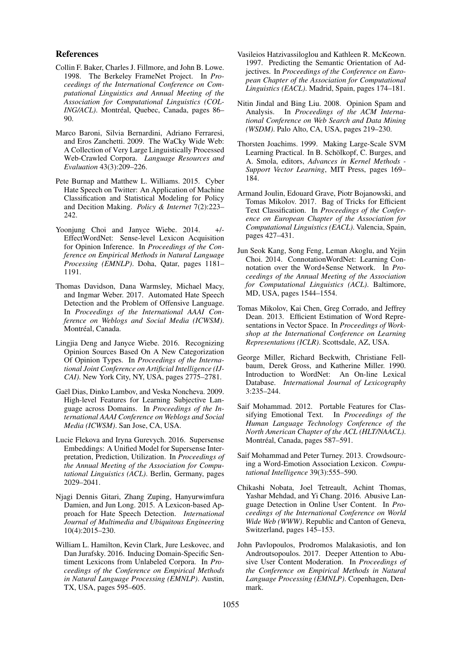### References

- Collin F. Baker, Charles J. Fillmore, and John B. Lowe. 1998. The Berkeley FrameNet Project. In *Proceedings of the International Conference on Computational Linguistics and Annual Meeting of the Association for Computational Linguistics (COL-ING/ACL*). Montréal, Quebec, Canada, pages 86– 90.
- Marco Baroni, Silvia Bernardini, Adriano Ferraresi, and Eros Zanchetti. 2009. The WaCky Wide Web: A Collection of Very Large Linguistically Processed Web-Crawled Corpora. *Language Resources and Evaluation* 43(3):209–226.
- Pete Burnap and Matthew L. Williams. 2015. Cyber Hate Speech on Twitter: An Application of Machine Classification and Statistical Modeling for Policy and Decition Making. *Policy & Internet* 7(2):223– 242.
- Yoonjung Choi and Janyce Wiebe. 2014. +/-EffectWordNet: Sense-level Lexicon Acquisition for Opinion Inference. In *Proceedings of the Conference on Empirical Methods in Natural Language Processing (EMNLP)*. Doha, Qatar, pages 1181– 1191.
- Thomas Davidson, Dana Warmsley, Michael Macy, and Ingmar Weber. 2017. Automated Hate Speech Detection and the Problem of Offensive Language. In *Proceedings of the International AAAI Conference on Weblogs and Social Media (ICWSM)*. Montréal, Canada.
- Lingjia Deng and Janyce Wiebe. 2016. Recognizing Opinion Sources Based On A New Categorization Of Opinion Types. In *Proceedings of the International Joint Conference on Artificial Intelligence (IJ-CAI)*. New York City, NY, USA, pages 2775–2781.
- Gaël Dias, Dinko Lambov, and Veska Noncheva. 2009. High-level Features for Learning Subjective Language across Domains. In *Proceedings of the International AAAI Conference on Weblogs and Social Media (ICWSM)*. San Jose, CA, USA.
- Lucie Flekova and Iryna Gurevych. 2016. Supersense Embeddings: A Unified Model for Supersense Interpretation, Prediction, Utilization. In *Proceedings of the Annual Meeting of the Association for Computational Linguistics (ACL)*. Berlin, Germany, pages 2029–2041.
- Njagi Dennis Gitari, Zhang Zuping, Hanyurwimfura Damien, and Jun Long. 2015. A Lexicon-based Approach for Hate Speech Detection. *International Journal of Multimedia and Ubiquitous Engineering* 10(4):2015–230.
- William L. Hamilton, Kevin Clark, Jure Leskovec, and Dan Jurafsky. 2016. Inducing Domain-Specific Sentiment Lexicons from Unlabeled Corpora. In *Proceedings of the Conference on Empirical Methods in Natural Language Processing (EMNLP)*. Austin, TX, USA, pages 595–605.
- Vasileios Hatzivassiloglou and Kathleen R. McKeown. 1997. Predicting the Semantic Orientation of Adjectives. In *Proceedings of the Conference on European Chapter of the Association for Computational Linguistics (EACL)*. Madrid, Spain, pages 174–181.
- Nitin Jindal and Bing Liu. 2008. Opinion Spam and Analysis. In *Proceedings of the ACM International Conference on Web Search and Data Mining (WSDM)*. Palo Alto, CA, USA, pages 219–230.
- Thorsten Joachims. 1999. Making Large-Scale SVM Learning Practical. In B. Schölkopf, C. Burges, and A. Smola, editors, *Advances in Kernel Methods - Support Vector Learning*, MIT Press, pages 169– 184.
- Armand Joulin, Edouard Grave, Piotr Bojanowski, and Tomas Mikolov. 2017. Bag of Tricks for Efficient Text Classification. In *Proceedings of the Conference on European Chapter of the Association for Computational Linguistics (EACL)*. Valencia, Spain, pages 427–431.
- Jun Seok Kang, Song Feng, Leman Akoglu, and Yejin Choi. 2014. ConnotationWordNet: Learning Connotation over the Word+Sense Network. In *Proceedings of the Annual Meeting of the Association for Computational Linguistics (ACL)*. Baltimore, MD, USA, pages 1544–1554.
- Tomas Mikolov, Kai Chen, Greg Corrado, and Jeffrey Dean. 2013. Efficient Estimation of Word Representations in Vector Space. In *Proceedings of Workshop at the International Conference on Learning Representations (ICLR)*. Scottsdale, AZ, USA.
- George Miller, Richard Beckwith, Christiane Fellbaum, Derek Gross, and Katherine Miller. 1990. Introduction to WordNet: An On-line Lexical Database. *International Journal of Lexicography* 3:235–244.
- Saif Mohammad. 2012. Portable Features for Classifying Emotional Text. In *Proceedings of the Human Language Technology Conference of the North American Chapter of the ACL (HLT/NAACL)*. Montréal, Canada, pages 587–591.
- Saif Mohammad and Peter Turney. 2013. Crowdsourcing a Word-Emotion Association Lexicon. *Computational Intelligence* 39(3):555–590.
- Chikashi Nobata, Joel Tetreault, Achint Thomas, Yashar Mehdad, and Yi Chang. 2016. Abusive Language Detection in Online User Content. In *Proceedings of the International Conference on World Wide Web (WWW)*. Republic and Canton of Geneva, Switzerland, pages 145–153.
- John Pavlopoulos, Prodromos Malakasiotis, and Ion Androutsopoulos. 2017. Deeper Attention to Abusive User Content Moderation. In *Proceedings of the Conference on Empirical Methods in Natural Language Processing (EMNLP)*. Copenhagen, Denmark.